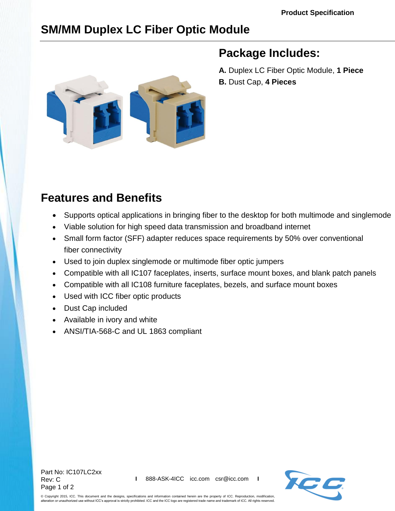# **SM/MM Duplex LC Fiber Optic Module**



## **Package Includes:**

**A.** Duplex LC Fiber Optic Module, **1 Piece B.** Dust Cap, **4 Pieces**

## **Features and Benefits**

- Supports optical applications in bringing fiber to the desktop for both multimode and singlemode
- Viable solution for high speed data transmission and broadband internet
- Small form factor (SFF) adapter reduces space requirements by 50% over conventional fiber connectivity
- Used to join duplex singlemode or multimode fiber optic jumpers
- Compatible with all IC107 faceplates, inserts, surface mount boxes, and blank patch panels
- Compatible with all IC108 furniture faceplates, bezels, and surface mount boxes
- Used with ICC fiber optic products
- Dust Cap included
- Available in ivory and white
- ANSI/TIA-568-C and UL 1863 compliant

Part No: IC107LC2xx Rev: C Page 1 of 2



© Copyright 2015, ICC. This document and the designs, specifications and information contained herein are the property of ICC. Reproduction, modification, alteration or unauthorized use without ICC's approval is strictly prohibited. ICC and the ICC logo are registered trade name and trademark of ICC. All rights reserved.